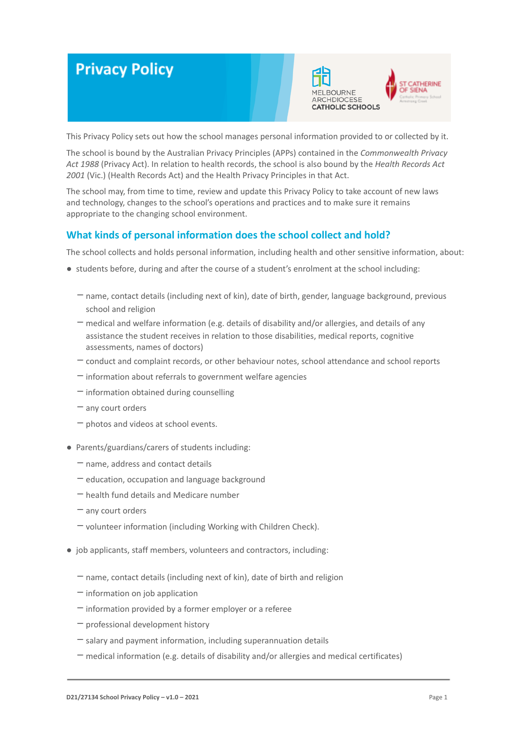# **Privacy Policy**





This Privacy Policy sets out how the school manages personal information provided to or collected by it.

The school is bound by the Australian Privacy Principles (APPs) contained in the *Commonwealth Privacy Act 1988* (Privacy Act). In relation to health records, the school is also bound by the *Health Records Act 2001* (Vic.) (Health Records Act) and the Health Privacy Principles in that Act.

The school may, from time to time, review and update this Privacy Policy to take account of new laws and technology, changes to the school's operations and practices and to make sure it remains appropriate to the changing school environment.

# **What kinds of personal information does the school collect and hold?**

The school collects and holds personal information, including health and other sensitive information, about:

- students before, during and after the course of a student's enrolment at the school including:
	- -name, contact details (including next of kin), date of birth, gender, language background, previous school and religion
	- $-$  medical and welfare information (e.g. details of disability and/or allergies, and details of any assistance the student receives in relation to those disabilities, medical reports, cognitive assessments, names of doctors)
	- -conduct and complaint records, or other behaviour notes, school attendance and school reports
	- $-$  information about referrals to government welfare agencies
	- $-$  information obtained during counselling
	- $-$  any court orders
	- $-$  photos and videos at school events.
- Parents/guardians/carers of students including:
	- $-$  name, address and contact details
	- $-$  education, occupation and language background
	- $-$  health fund details and Medicare number
	- $-$  any court orders
	- volunteer information (including Working with Children Check).
- job applicants, staff members, volunteers and contractors, including:
	- $-$  name, contact details (including next of kin), date of birth and religion
	- $-$  information on job application
	- $-$  information provided by a former employer or a referee
	- $-$  professional development history
	- $-$  salary and payment information, including superannuation details
	- $-$  medical information (e.g. details of disability and/or allergies and medical certificates)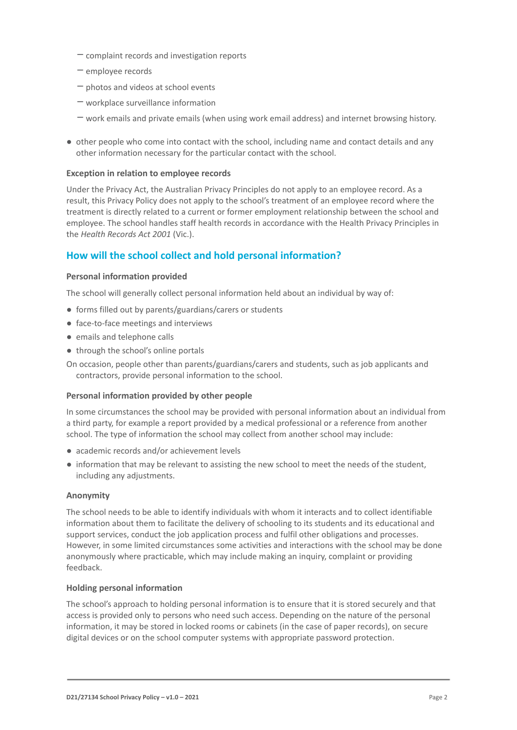- $-$  complaint records and investigation reports
- $-$  employee records
- $-$  photos and videos at school events
- $-$  workplace surveillance information
- work emails and private emails (when using work email address) and internet browsing history.
- other people who come into contact with the school, including name and contact details and any other information necessary for the particular contact with the school.

# **Exception in relation to employee records**

Under the Privacy Act, the Australian Privacy Principles do not apply to an employee record. As a result, this Privacy Policy does not apply to the school's treatment of an employee record where the treatment is directly related to a current or former employment relationship between the school and employee. The school handles staff health records in accordance with the Health Privacy Principles in the *Health Records Act 2001* (Vic.).

# **How will the school collect and hold personal information?**

# **Personal information provided**

The school will generally collect personal information held about an individual by way of:

- forms filled out by parents/guardians/carers or students
- face-to-face meetings and interviews
- emails and telephone calls
- through the school's online portals
- On occasion, people other than parents/guardians/carers and students, such as job applicants and contractors, provide personal information to the school.

#### **Personal information provided by other people**

In some circumstances the school may be provided with personal information about an individual from a third party, for example a report provided by a medical professional or a reference from another school. The type of information the school may collect from another school may include:

- academic records and/or achievement levels
- information that may be relevant to assisting the new school to meet the needs of the student, including any adjustments.

# **Anonymity**

The school needs to be able to identify individuals with whom it interacts and to collect identifiable information about them to facilitate the delivery of schooling to its students and its educational and support services, conduct the job application process and fulfil other obligations and processes. However, in some limited circumstances some activities and interactions with the school may be done anonymously where practicable, which may include making an inquiry, complaint or providing feedback.

# **Holding personal information**

The school's approach to holding personal information is to ensure that it is stored securely and that access is provided only to persons who need such access. Depending on the nature of the personal information, it may be stored in locked rooms or cabinets (in the case of paper records), on secure digital devices or on the school computer systems with appropriate password protection.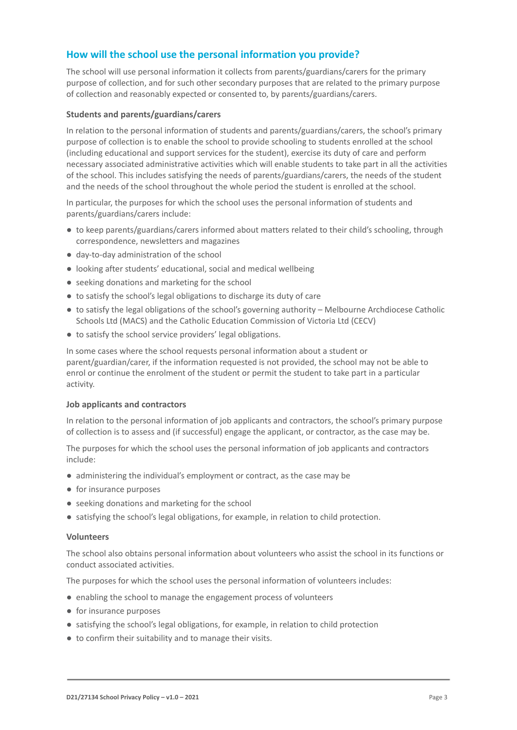# **How will the school use the personal information you provide?**

The school will use personal information it collects from parents/guardians/carers for the primary purpose of collection, and for such other secondary purposes that are related to the primary purpose of collection and reasonably expected or consented to, by parents/guardians/carers.

# **Students and parents/guardians/carers**

In relation to the personal information of students and parents/guardians/carers, the school's primary purpose of collection is to enable the school to provide schooling to students enrolled at the school (including educational and support services for the student), exercise its duty of care and perform necessary associated administrative activities which will enable students to take part in all the activities of the school. This includes satisfying the needs of parents/guardians/carers, the needs of the student and the needs of the school throughout the whole period the student is enrolled at the school.

In particular, the purposes for which the school uses the personal information of students and parents/guardians/carers include:

- to keep parents/guardians/carers informed about matters related to their child's schooling, through correspondence, newsletters and magazines
- day-to-day administration of the school
- looking after students' educational, social and medical wellbeing
- seeking donations and marketing for the school
- to satisfy the school's legal obligations to discharge its duty of care
- to satisfy the legal obligations of the school's governing authority Melbourne Archdiocese Catholic Schools Ltd (MACS) and the Catholic Education Commission of Victoria Ltd (CECV)
- to satisfy the school service providers' legal obligations.

In some cases where the school requests personal information about a student or parent/guardian/carer, if the information requested is not provided, the school may not be able to enrol or continue the enrolment of the student or permit the student to take part in a particular activity.

#### **Job applicants and contractors**

In relation to the personal information of job applicants and contractors, the school's primary purpose of collection is to assess and (if successful) engage the applicant, or contractor, as the case may be.

The purposes for which the school uses the personal information of job applicants and contractors include:

- administering the individual's employment or contract, as the case may be
- for insurance purposes
- seeking donations and marketing for the school
- satisfying the school's legal obligations, for example, in relation to child protection.

#### **Volunteers**

The school also obtains personal information about volunteers who assist the school in its functions or conduct associated activities.

The purposes for which the school uses the personal information of volunteers includes:

- enabling the school to manage the engagement process of volunteers
- for insurance purposes
- satisfying the school's legal obligations, for example, in relation to child protection
- to confirm their suitability and to manage their visits.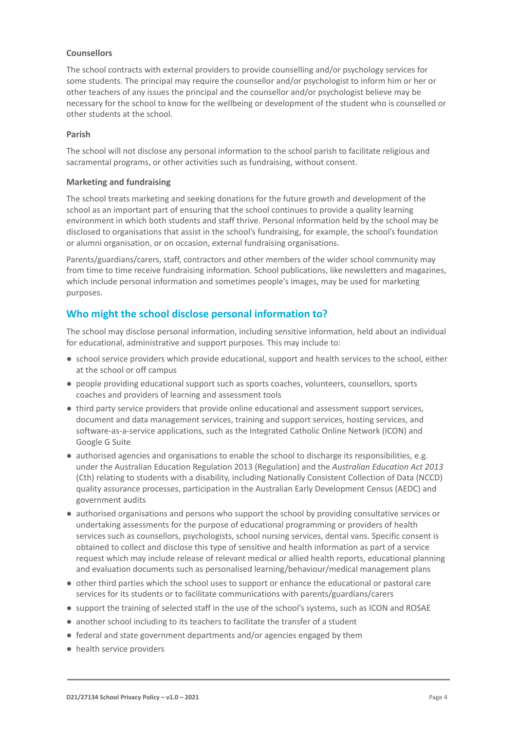# **Counsellors**

The school contracts with external providers to provide counselling and/or psychology services for some students. The principal may require the counsellor and/or psychologist to inform him or her or other teachers of any issues the principal and the counsellor and/or psychologist believe may be necessary for the school to know for the wellbeing or development of the student who is counselled or other students at the school.

## **Parish**

The school will not disclose any personal information to the school parish to facilitate religious and sacramental programs, or other activities such as fundraising, without consent.

#### **Marketing and fundraising**

The school treats marketing and seeking donations for the future growth and development of the school as an important part of ensuring that the school continues to provide a quality learning environment in which both students and staff thrive. Personal information held by the school may be disclosed to organisations that assist in the school's fundraising, for example, the school's foundation or alumni organisation, or on occasion, external fundraising organisations.

Parents/guardians/carers, staff, contractors and other members of the wider school community may from time to time receive fundraising information. School publications, like newsletters and magazines, which include personal information and sometimes people's images, may be used for marketing purposes.

# **Who might the school disclose personal information to?**

The school may disclose personal information, including sensitive information, held about an individual for educational, administrative and support purposes. This may include to:

- school service providers which provide educational, support and health services to the school, either at the school or off campus
- people providing educational support such as sports coaches, volunteers, counsellors, sports coaches and providers of learning and assessment tools
- third party service providers that provide online educational and assessment support services, document and data management services, training and support services, hosting services, and software-as-a-service applications, such as the Integrated Catholic Online Network (ICON) and Google G Suite
- authorised agencies and organisations to enable the school to discharge its responsibilities, e.g. under the Australian Education Regulation 2013 (Regulation) and the *Australian Education Act 2013* (Cth) relating to students with a disability, including Nationally Consistent Collection of Data (NCCD) quality assurance processes, participation in the Australian Early Development Census (AEDC) and government audits
- authorised organisations and persons who support the school by providing consultative services or undertaking assessments for the purpose of educational programming or providers of health services such as counsellors, psychologists, school nursing services, dental vans. Specific consent is obtained to collect and disclose this type of sensitive and health information as part of a service request which may include release of relevant medical or allied health reports, educational planning and evaluation documents such as personalised learning/behaviour/medical management plans
- other third parties which the school uses to support or enhance the educational or pastoral care services for its students or to facilitate communications with parents/guardians/carers
- support the training of selected staff in the use of the school's systems, such as ICON and ROSAE
- another school including to its teachers to facilitate the transfer of a student
- federal and state government departments and/or agencies engaged by them
- health service providers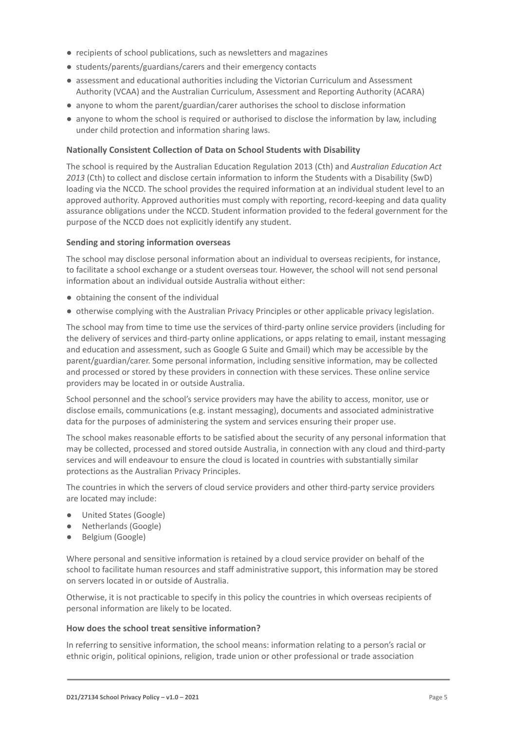- recipients of school publications, such as newsletters and magazines
- students/parents/guardians/carers and their emergency contacts
- assessment and educational authorities including the Victorian Curriculum and Assessment Authority (VCAA) and the Australian Curriculum, Assessment and Reporting Authority (ACARA)
- anyone to whom the parent/guardian/carer authorises the school to disclose information
- anyone to whom the school is required or authorised to disclose the information by law, including under child protection and information sharing laws.

## **Nationally Consistent Collection of Data on School Students with Disability**

The school is required by the Australian Education Regulation 2013 (Cth) and *Australian Education Act 2013* (Cth) to collect and disclose certain information to inform the Students with a Disability (SwD) loading via the NCCD. The school provides the required information at an individual student level to an approved authority. Approved authorities must comply with reporting, record-keeping and data quality assurance obligations under the NCCD. Student information provided to the federal government for the purpose of the NCCD does not explicitly identify any student.

#### **Sending and storing information overseas**

The school may disclose personal information about an individual to overseas recipients, for instance, to facilitate a school exchange or a student overseas tour. However, the school will not send personal information about an individual outside Australia without either:

- obtaining the consent of the individual
- otherwise complying with the Australian Privacy Principles or other applicable privacy legislation.

The school may from time to time use the services of third-party online service providers (including for the delivery of services and third-party online applications, or apps relating to email, instant messaging and education and assessment, such as Google G Suite and Gmail) which may be accessible by the parent/guardian/carer. Some personal information, including sensitive information, may be collected and processed or stored by these providers in connection with these services. These online service providers may be located in or outside Australia.

School personnel and the school's service providers may have the ability to access, monitor, use or disclose emails, communications (e.g. instant messaging), documents and associated administrative data for the purposes of administering the system and services ensuring their proper use.

The school makes reasonable efforts to be satisfied about the security of any personal information that may be collected, processed and stored outside Australia, in connection with any cloud and third-party services and will endeavour to ensure the cloud is located in countries with substantially similar protections as the Australian Privacy Principles.

The countries in which the servers of cloud service providers and other third-party service providers are located may include:

- United States (Google)
- Netherlands (Google)
- Belgium (Google)

Where personal and sensitive information is retained by a cloud service provider on behalf of the school to facilitate human resources and staff administrative support, this information may be stored on servers located in or outside of Australia.

Otherwise, it is not practicable to specify in this policy the countries in which overseas recipients of personal information are likely to be located.

#### **How does the school treat sensitive information?**

In referring to sensitive information, the school means: information relating to a person's racial or ethnic origin, political opinions, religion, trade union or other professional or trade association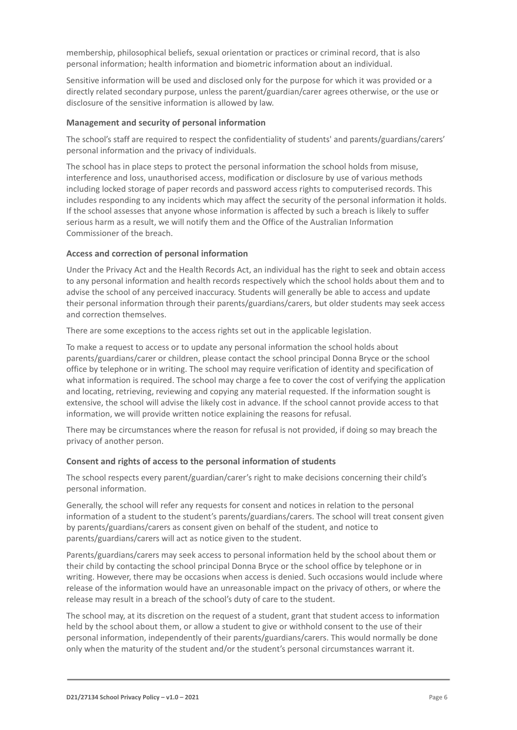membership, philosophical beliefs, sexual orientation or practices or criminal record, that is also personal information; health information and biometric information about an individual.

Sensitive information will be used and disclosed only for the purpose for which it was provided or a directly related secondary purpose, unless the parent/guardian/carer agrees otherwise, or the use or disclosure of the sensitive information is allowed by law.

## **Management and security of personal information**

The school's staff are required to respect the confidentiality of students' and parents/guardians/carers' personal information and the privacy of individuals.

The school has in place steps to protect the personal information the school holds from misuse, interference and loss, unauthorised access, modification or disclosure by use of various methods including locked storage of paper records and password access rights to computerised records. This includes responding to any incidents which may affect the security of the personal information it holds. If the school assesses that anyone whose information is affected by such a breach is likely to suffer serious harm as a result, we will notify them and the Office of the Australian Information Commissioner of the breach.

## **Access and correction of personal information**

Under the Privacy Act and the Health Records Act, an individual has the right to seek and obtain access to any personal information and health records respectively which the school holds about them and to advise the school of any perceived inaccuracy. Students will generally be able to access and update their personal information through their parents/guardians/carers, but older students may seek access and correction themselves.

There are some exceptions to the access rights set out in the applicable legislation.

To make a request to access or to update any personal information the school holds about parents/guardians/carer or children, please contact the school principal Donna Bryce or the school office by telephone or in writing. The school may require verification of identity and specification of what information is required. The school may charge a fee to cover the cost of verifying the application and locating, retrieving, reviewing and copying any material requested. If the information sought is extensive, the school will advise the likely cost in advance. If the school cannot provide access to that information, we will provide written notice explaining the reasons for refusal.

There may be circumstances where the reason for refusal is not provided, if doing so may breach the privacy of another person.

#### **Consent and rights of access to the personal information of students**

The school respects every parent/guardian/carer's right to make decisions concerning their child's personal information.

Generally, the school will refer any requests for consent and notices in relation to the personal information of a student to the student's parents/guardians/carers. The school will treat consent given by parents/guardians/carers as consent given on behalf of the student, and notice to parents/guardians/carers will act as notice given to the student.

Parents/guardians/carers may seek access to personal information held by the school about them or their child by contacting the school principal Donna Bryce or the school office by telephone or in writing. However, there may be occasions when access is denied. Such occasions would include where release of the information would have an unreasonable impact on the privacy of others, or where the release may result in a breach of the school's duty of care to the student.

The school may, at its discretion on the request of a student, grant that student access to information held by the school about them, or allow a student to give or withhold consent to the use of their personal information, independently of their parents/guardians/carers. This would normally be done only when the maturity of the student and/or the student's personal circumstances warrant it.